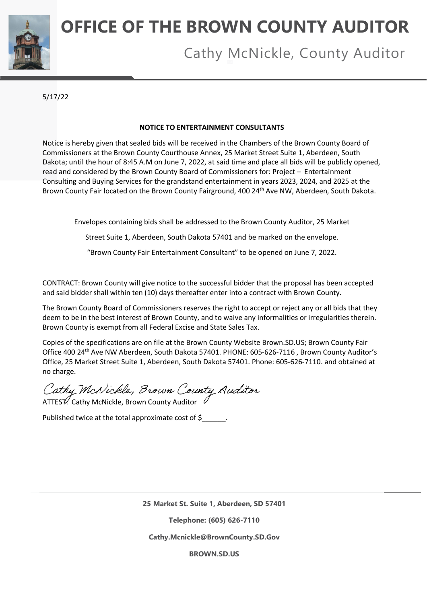

# **OFFICE OF THE BROWN COUNTY AUDITOR**

## Cathy McNickle, County Auditor

5/17/22

#### **NOTICE TO ENTERTAINMENT CONSULTANTS**

Notice is hereby given that sealed bids will be received in the Chambers of the Brown County Board of Commissioners at the Brown County Courthouse Annex, 25 Market Street Suite 1, Aberdeen, South Dakota; until the hour of 8:45 A.M on June 7, 2022, at said time and place all bids will be publicly opened, read and considered by the Brown County Board of Commissioners for: Project – Entertainment Consulting and Buying Services for the grandstand entertainment in years 2023, 2024, and 2025 at the Brown County Fair located on the Brown County Fairground, 400 24<sup>th</sup> Ave NW, Aberdeen, South Dakota.

Envelopes containing bids shall be addressed to the Brown County Auditor, 25 Market

Street Suite 1, Aberdeen, South Dakota 57401 and be marked on the envelope.

"Brown County Fair Entertainment Consultant" to be opened on June 7, 2022.

CONTRACT: Brown County will give notice to the successful bidder that the proposal has been accepted and said bidder shall within ten (10) days thereafter enter into a contract with Brown County.

The Brown County Board of Commissioners reserves the right to accept or reject any or all bids that they deem to be in the best interest of Brown County, and to waive any informalities or irregularities therein. Brown County is exempt from all Federal Excise and State Sales Tax.

Copies of the specifications are on file at the Brown County Website Brown.SD.US; Brown County Fair Office 400 24th Ave NW Aberdeen, South Dakota 57401. PHONE: 605-626-7116 , Brown County Auditor's Office, 25 Market Street Suite 1, Aberdeen, South Dakota 57401. Phone: 605-626-7110. and obtained at no charge.

Cathy McNickle, Brown County Auditor

Published twice at the total approximate cost of \$

**25 Market St. Suite 1, Aberdeen, SD 57401**

**Telephone: (605) 626-7110**

**Cathy.Mcnickle@BrownCounty.SD.Gov**

**BROWN.SD.US**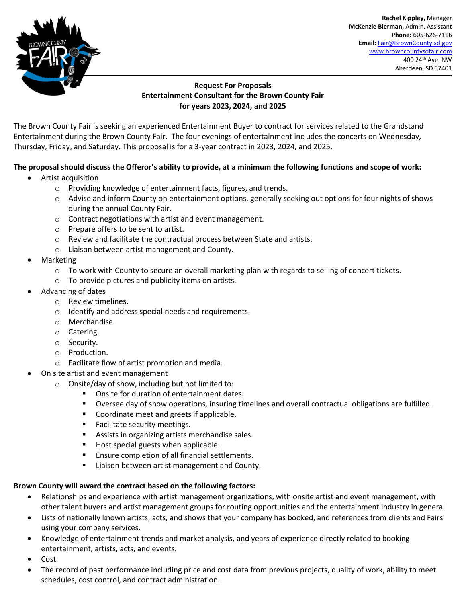

. **Rachel Kippley,** Manager **McKenzie Bierman,** Admin. Assistant **Phone:** 605-626-7116 **Email:** [Fair@BrownCounty.sd.gov](mailto:Fair@BrownCounty.sd.gov) [www.browncountysdfair.com](http://www.browncountysdfair.com/) 400 24th Ave. NW Aberdeen, SD 57401

#### **Request For Proposals Entertainment Consultant for the Brown County Fair for years 2023, 2024, and 2025**

The Brown County Fair is seeking an experienced Entertainment Buyer to contract for services related to the Grandstand Entertainment during the Brown County Fair. The four evenings of entertainment includes the concerts on Wednesday, Thursday, Friday, and Saturday. This proposal is for a 3-year contract in 2023, 2024, and 2025.

### **The proposal should discuss the Offeror's ability to provide, at a minimum the following functions and scope of work:**

- Artist acquisition
	- o Providing knowledge of entertainment facts, figures, and trends.
	- o Advise and inform County on entertainment options, generally seeking out options for four nights of shows during the annual County Fair.
	- o Contract negotiations with artist and event management.
	- o Prepare offers to be sent to artist.
	- o Review and facilitate the contractual process between State and artists.
	- o Liaison between artist management and County.
- Marketing
	- $\circ$  To work with County to secure an overall marketing plan with regards to selling of concert tickets.
	- o To provide pictures and publicity items on artists.
- Advancing of dates
	- o Review timelines.
	- o Identify and address special needs and requirements.
	- o Merchandise.
	- o Catering.
	- o Security.
	- o Production.
	- o Facilitate flow of artist promotion and media.
- On site artist and event management
	- $\circ$  Onsite/day of show, including but not limited to:
		- Onsite for duration of entertainment dates.
		- Oversee day of show operations, insuring timelines and overall contractual obligations are fulfilled.
		- Coordinate meet and greets if applicable.
		- Facilitate security meetings.
		- Assists in organizing artists merchandise sales.
		- Host special guests when applicable.
		- Ensure completion of all financial settlements.
		- Liaison between artist management and County.

#### **Brown County will award the contract based on the following factors:**

- Relationships and experience with artist management organizations, with onsite artist and event management, with other talent buyers and artist management groups for routing opportunities and the entertainment industry in general.
- Lists of nationally known artists, acts, and shows that your company has booked, and references from clients and Fairs using your company services.
- Knowledge of entertainment trends and market analysis, and years of experience directly related to booking entertainment, artists, acts, and events.
- Cost.
- The record of past performance including price and cost data from previous projects, quality of work, ability to meet schedules, cost control, and contract administration.